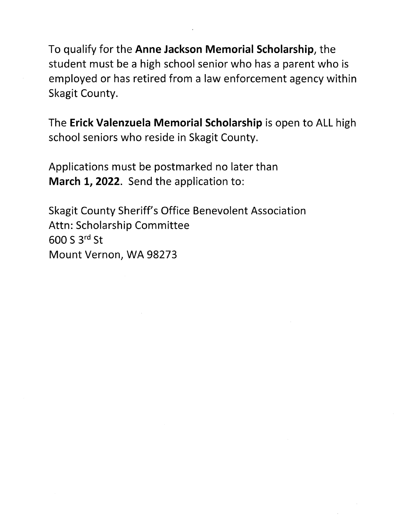To qualify for the **Anne Jackson Memorial Scholarship,** the student must be a high school senior who has a parent who is employed or has retired from a law enforcement agency within Skagit County.

The **Erick Valenzuela Memorial Scholarship** is open to ALL high school seniors who reside in Skagit County.

Applications must be postmarked no later than **March 1, 2022.** Send the application to:

Skagit County Sheriff's Office Benevolent Association Attn: Scholarship Committee **600 S 3rd St**  Mount Vernon, WA 98273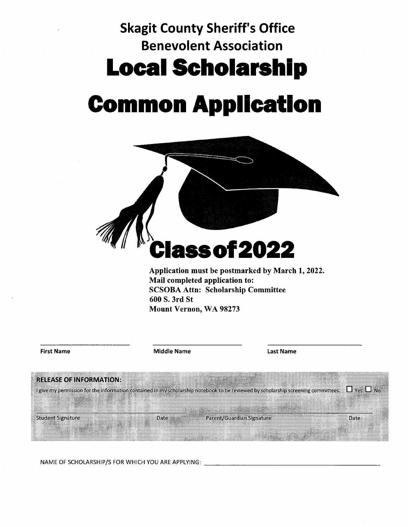# **Skagit County Sheriff's Office Benevolent Association Local Scholarshlp**

# **Common Appllcatlon**





NAME OF SCHOLARSHIP/S FOR WHICH YOU ARE APPLYING: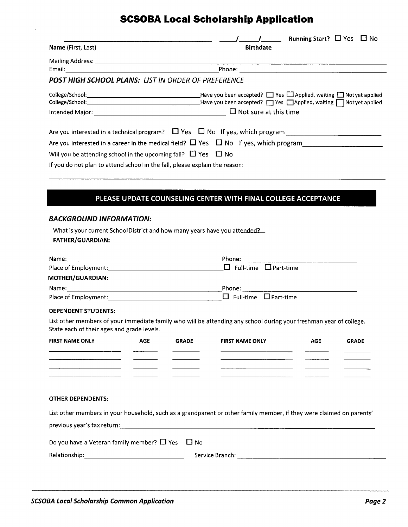# **SCSOBA Local Scholarship Application**

|                                                                                                        | $\sqrt{1 - (1 - 1)^2}$ Running Start? $\Box$ Yes $\Box$ No |
|--------------------------------------------------------------------------------------------------------|------------------------------------------------------------|
| Name (First, Last)                                                                                     | <b>Birthdate</b>                                           |
|                                                                                                        |                                                            |
|                                                                                                        |                                                            |
| <b>POST HIGH SCHOOL PLANS: LIST IN ORDER OF PREFERENCE</b>                                             |                                                            |
|                                                                                                        |                                                            |
|                                                                                                        |                                                            |
| Intended Major: $\sqrt{a}$ Mot sure at this time                                                       |                                                            |
| Are you interested in a technical program? $\Box$ Yes $\Box$ No If yes, which program $\Box$           |                                                            |
| Are you interested in a career in the medical field? $\Box$ Yes $\Box$ No If yes, which program $\Box$ |                                                            |
| Will you be attending school in the upcoming fall? $\Box$ Yes $\Box$ No                                |                                                            |
| If you do not plan to attend school in the fall, please explain the reason:                            |                                                            |

### **PLEASE UPDATE COUNSELING CENTER WITH FINAL COLLEGE ACCEPTANCE**

#### **BACKGROUND INFORMATION:**

| What is your current School District and how many years have you attended? |
|----------------------------------------------------------------------------|
| <b>FATHER/GUARDIAN:</b>                                                    |

| Name:                          | Phone:                            |
|--------------------------------|-----------------------------------|
| Place of Employment: 1997-1997 | $\Box$ Full-time $\Box$ Part-time |
| MOTHER/GUARDIAN:               |                                   |
| Name:                          | Phone:                            |
| Place of Employment:           | $\Box$ Full-time $\Box$ Part-time |

#### **DEPENDENT STUDENTS:**

List other members of your immediate family who will be attending any school during your freshman year of college. State each of their ages and grade levels.

| <b>FIRST NAME ONLY</b> | <b>AGE</b> | <b>GRADE</b> | <b>FIRST NAME ONLY</b> | <b>AGE</b> | <b>GRADE</b> |
|------------------------|------------|--------------|------------------------|------------|--------------|
|                        |            |              |                        |            |              |
|                        |            |              |                        |            |              |
|                        |            |              |                        |            |              |
|                        |            |              |                        |            |              |

#### **OTHER DEPENDENTS:**

| List other members in your household, such as a grandparent or other family member, if they were claimed on parents' |                 |  |  |
|----------------------------------------------------------------------------------------------------------------------|-----------------|--|--|
|                                                                                                                      |                 |  |  |
| Do you have a Veteran family member? $\Box$ Yes $\Box$ No                                                            |                 |  |  |
| Relationship:                                                                                                        | Service Branch: |  |  |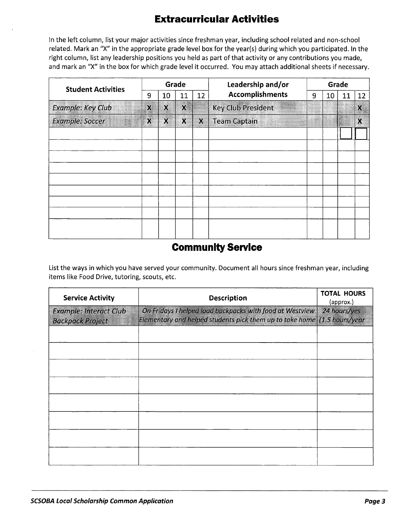# **Extracurricular Activities**

In the left column, list your major activities since freshman year, including school related and non-school related. Mark an "X" in the appropriate grade level box for the year(s) during which you participated. In the right column, list any leadership positions you held as part of that activity or any contributions you made, and mark an "X" in the box for which grade level it occurred. You may attach additional sheets if necessary.

| <b>Student Activities</b> | Grade  |             |    | Leadership and/or | Grade                     |   |    |    |    |  |
|---------------------------|--------|-------------|----|-------------------|---------------------------|---|----|----|----|--|
|                           | 9      | 10          | 11 | 12                | <b>Accomplishments</b>    | 9 | 10 | 11 | 12 |  |
| <b>Example: Key Club</b>  | χ      | $\mathbf x$ | X  |                   | <b>Key Club President</b> |   |    |    | Χ  |  |
| <b>Example: Soccer</b>    | $\chi$ | $\bf{X}$    | X  | χ                 | <b>Team Captain</b>       |   |    |    | χ  |  |
|                           |        |             |    |                   |                           |   |    |    |    |  |
|                           |        |             |    |                   |                           |   |    |    |    |  |
|                           |        |             |    |                   |                           |   |    |    |    |  |
|                           |        |             |    |                   |                           |   |    |    |    |  |
|                           |        |             |    |                   |                           |   |    |    |    |  |
|                           |        |             |    |                   |                           |   |    |    |    |  |
|                           |        |             |    |                   |                           |   |    |    |    |  |
|                           |        |             |    |                   |                           |   |    |    |    |  |
|                           |        |             |    |                   |                           |   |    |    |    |  |

# **Community Service**

List the ways in which you have served your community. Document all hours since freshman year, including items like Food Drive, tutoring, scouts, etc.

| <b>Service Activity</b>                                  | <b>Description</b>                                                                                                                   | <b>TOTAL HOURS</b><br>(approx.) |  |  |
|----------------------------------------------------------|--------------------------------------------------------------------------------------------------------------------------------------|---------------------------------|--|--|
| <b>Example: Interact Club</b><br><b>Backpack Project</b> | On Fridays I helped load backpacks with food at Westview<br>Elementary and helped students pick them up to take home (1.5 hours/year | 24 hours/yes                    |  |  |
|                                                          |                                                                                                                                      |                                 |  |  |
|                                                          |                                                                                                                                      |                                 |  |  |
|                                                          |                                                                                                                                      |                                 |  |  |
|                                                          |                                                                                                                                      |                                 |  |  |
|                                                          |                                                                                                                                      |                                 |  |  |
|                                                          |                                                                                                                                      |                                 |  |  |
|                                                          |                                                                                                                                      |                                 |  |  |
|                                                          |                                                                                                                                      |                                 |  |  |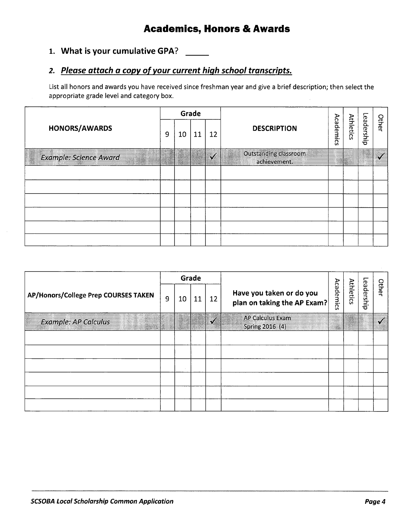# **Academics, Honors** & **Awards**

## 1. What is your cumulative GPA?

## *2. Please attach a copy of your current high school transcripts.*

List all honors and awards you have received since freshman year and give a brief description; then select the appropriate grade level and category box.

|                        |   |    | Grade |    |                                       |  |           |            |       |
|------------------------|---|----|-------|----|---------------------------------------|--|-----------|------------|-------|
| HONORS/AWARDS          | 9 | 10 | 11    | 12 | <b>DESCRIPTION</b>                    |  | Athletics | Leadership | Other |
| Example: Science Award |   |    |       |    | Outstanding classroom<br>achievement. |  |           |            |       |
|                        |   |    |       |    |                                       |  |           |            |       |
|                        |   |    |       |    |                                       |  |           |            |       |
|                        |   |    |       |    |                                       |  |           |            |       |
|                        |   |    |       |    |                                       |  |           |            |       |
|                        |   |    |       |    |                                       |  |           |            |       |
|                        |   |    |       |    |                                       |  |           |            |       |

|                                      |   |    | Grade |    |                                                         |           |                  |            |       |
|--------------------------------------|---|----|-------|----|---------------------------------------------------------|-----------|------------------|------------|-------|
| AP/Honors/College Prep COURSES TAKEN | 9 | 10 | 11    | 12 | Have you taken or do you<br>plan on taking the AP Exam? | Academics | <b>Athletics</b> | Leadership | Other |
| <b>Example: AP Calculus</b>          |   |    |       | s4 | AP Calculus Exam<br>Spring 2016 (4)                     | V.        |                  |            |       |
|                                      |   |    |       |    |                                                         |           |                  |            |       |
|                                      |   |    |       |    |                                                         |           |                  |            |       |
|                                      |   |    |       |    |                                                         |           |                  |            |       |
|                                      |   |    |       |    |                                                         |           |                  |            |       |
|                                      |   |    |       |    |                                                         |           |                  |            |       |
|                                      |   |    |       |    |                                                         |           |                  |            |       |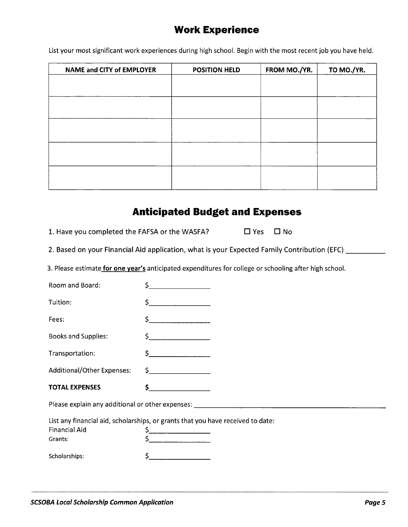# **Work Experience**

List your most significant work experiences during high school. Begin with the most recent job you have held.

| NAME and CITY of EMPLOYER | <b>POSITION HELD</b> | FROM MO./YR. | TO MO./YR. |
|---------------------------|----------------------|--------------|------------|
|                           |                      |              |            |
|                           |                      |              |            |
|                           |                      |              |            |
|                           |                      |              |            |
|                           |                      |              |            |
|                           |                      |              |            |
|                           |                      |              |            |
|                           |                      |              |            |
|                           |                      |              |            |
|                           |                      |              |            |
|                           |                      |              |            |

## **Anticipated Budget and Expenses**

| 1. Have you completed the FAFSA or the WASFA? | $\Box$ Yes $\Box$ No |  |
|-----------------------------------------------|----------------------|--|
|-----------------------------------------------|----------------------|--|

2. Based on your Financial Aid application, what is your Expected Family Contribution (EFC) \_\_\_\_\_\_\_\_

3. Please estimate **for one year's** anticipated expenditures for college or schooling after high school.

| Room and Board:                 |                                                                                                                                              |
|---------------------------------|----------------------------------------------------------------------------------------------------------------------------------------------|
| Tuition:                        | S.<br><u> 1990 - Jan Jawa Barat, prima prima prima prima prima prima prima prima prima prima prima prima prima prima p</u>                   |
| Fees:                           | Ś.<br><u> 1980 - Johann Barbara, martin a</u>                                                                                                |
| <b>Books and Supplies:</b>      | <u> 1989 - Johann Barbara, politik eta politik eta politik eta politik eta politik eta politik eta politik eta p</u>                         |
| Transportation:                 |                                                                                                                                              |
| Additional/Other Expenses:      | $\begin{array}{c} \xi \end{array}$                                                                                                           |
| <b>TOTAL EXPENSES</b>           | \$                                                                                                                                           |
|                                 | Please explain any additional or other expenses: Network and the state of the state of the state of the state of                             |
| <b>Financial Aid</b><br>Grants: | List any financial aid, scholarships, or grants that you have received to date:<br>\$_<br><u> 2001 - Jan Barbarat, prima popular popular</u> |
| Scholarships:                   |                                                                                                                                              |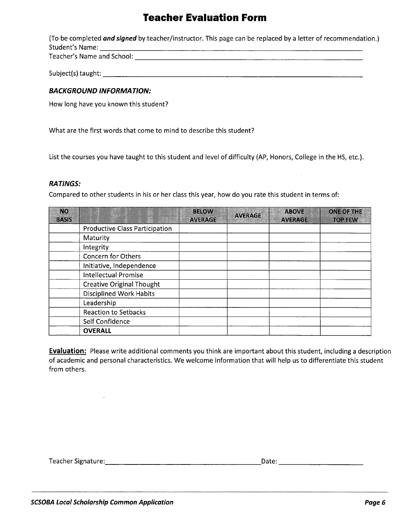# **Teacher Evaluation Form**

(To be completed **and signed** by teacher/instructor. This page can be replaced by a letter of recommendation.) Student's Name: \_\_\_\_\_\_\_\_\_\_\_\_\_\_\_\_\_\_\_\_\_\_\_\_\_\_\_\_\_\_ Teacher's Name and School: \_\_\_\_\_\_\_\_\_\_\_\_\_\_\_\_\_\_\_\_\_\_\_\_\_\_

Subject(s) taught: \_\_\_\_\_\_\_\_\_\_\_\_\_\_\_\_\_\_\_\_\_\_\_\_\_\_\_\_\_

#### **BACKGROUND INFORMATION:**

How long have you known this student?

What are the first words that come to mind to describe this student?

List the courses you have taught to this student and level of difficulty (AP, Honors, College in the HS, etc.).

#### **RATINGS:**

Compared to other students in his or her class this year, how do you rate this student in terms of:

| NO)<br><b>BASIS</b> |                                       | <b>BELOW</b><br><b>AVERAGE</b> | <b>AVERAGE</b> | ABOVE<br><b>AVERAGE</b> | <b>ONE OF THE</b><br><b>TOP FEW</b> |
|---------------------|---------------------------------------|--------------------------------|----------------|-------------------------|-------------------------------------|
|                     | <b>Productive Class Participation</b> |                                |                |                         |                                     |
|                     | Maturity                              |                                |                |                         |                                     |
|                     | Integrity                             |                                |                |                         |                                     |
|                     | <b>Concern for Others</b>             |                                |                |                         |                                     |
|                     | Initiative, Independence              |                                |                |                         |                                     |
|                     | Intellectual Promise                  |                                |                |                         |                                     |
|                     | <b>Creative Original Thought</b>      |                                |                |                         |                                     |
|                     | <b>Disciplined Work Habits</b>        |                                |                |                         |                                     |
|                     | Leadership                            |                                |                |                         |                                     |
|                     | Reaction to Setbacks                  |                                |                |                         |                                     |
|                     | Self Confidence                       |                                |                |                         |                                     |
|                     | <b>OVERALL</b>                        |                                |                |                         |                                     |

**Evaluation:** Please write additional comments you think are important about this student, including a description of academic and personal characteristics. We welcome information that will help us to differentiate this student from others.

Teacher Signature: \_\_\_\_\_\_\_\_\_\_\_\_\_\_\_\_\_\_Date: \_\_\_\_\_\_\_\_\_\_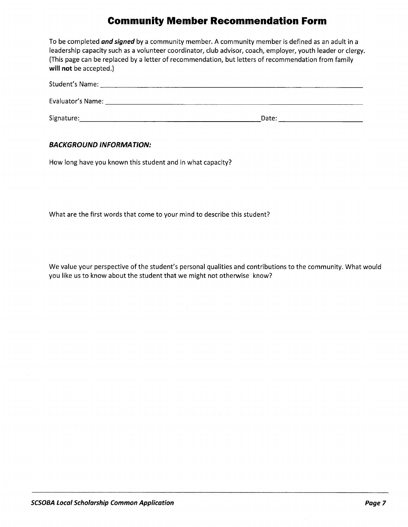# **Community Member Recommendation Form**

| will not be accepted.)              | To be completed <b>and signed</b> by a community member. A community member is defined as an adult in a<br>leadership capacity such as a volunteer coordinator, club advisor, coach, employer, youth leader or clergy.<br>(This page can be replaced by a letter of recommendation, but letters of recommendation from family |
|-------------------------------------|-------------------------------------------------------------------------------------------------------------------------------------------------------------------------------------------------------------------------------------------------------------------------------------------------------------------------------|
| Student's Name: Names               |                                                                                                                                                                                                                                                                                                                               |
| Evaluator's Name: Evaluator's Name: |                                                                                                                                                                                                                                                                                                                               |
| Signature:                          | Date:                                                                                                                                                                                                                                                                                                                         |

#### **BACKGROUND INFORMATION:**

How long have you known this student and in what capacity?

What are the first words that come to your mind to describe this student?

We value your perspective of the student's personal qualities and contributions to the community. What would you like us to know about the student that we might not otherwise know?